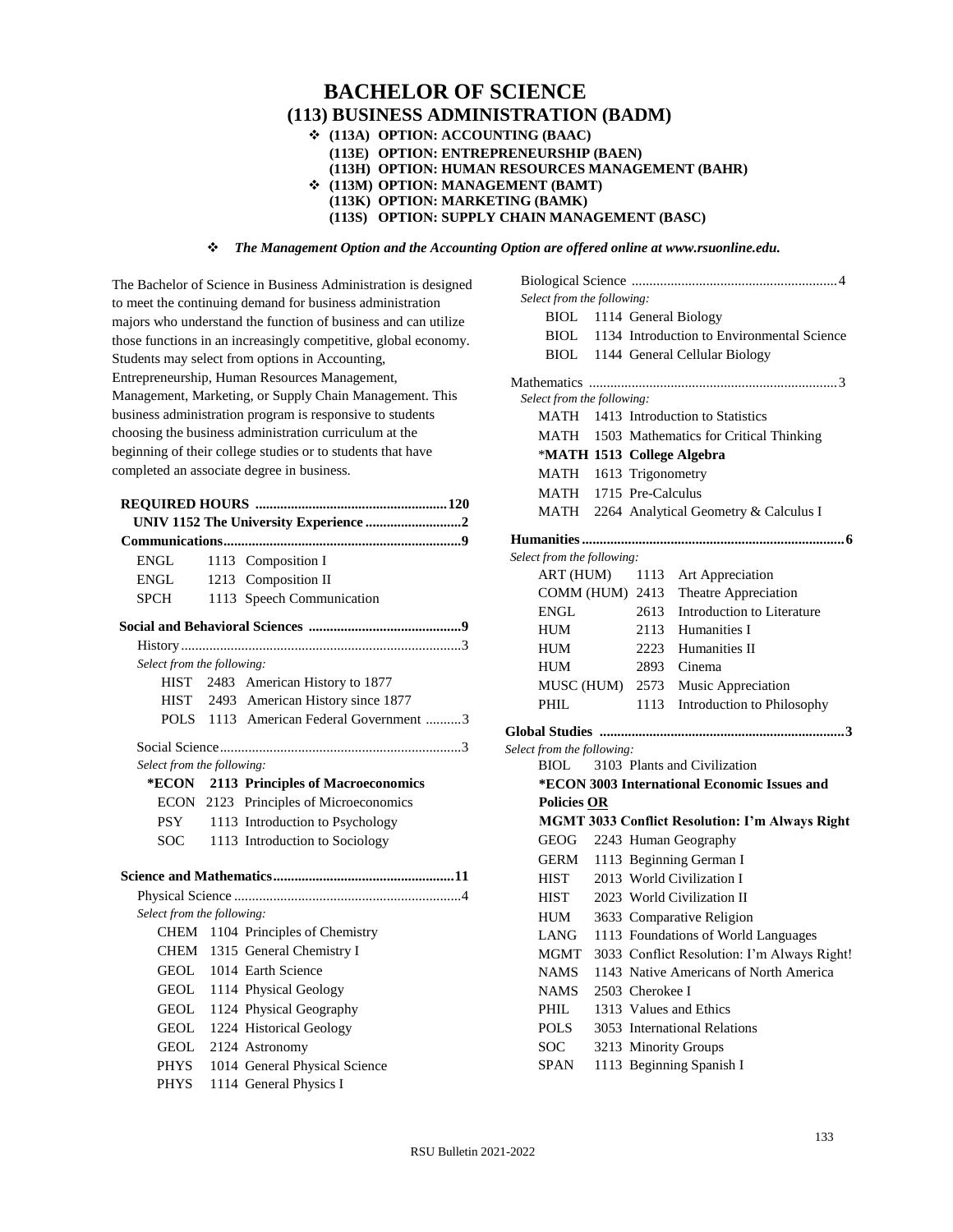## **BACHELOR OF SCIENCE (113) BUSINESS ADMINISTRATION (BADM)** ❖ **(113A) OPTION: ACCOUNTING (BAAC) (113E) OPTION: ENTREPRENEURSHIP (BAEN) (113H) OPTION: HUMAN RESOURCES MANAGEMENT (BAHR)** ❖ **(113M) OPTION: MANAGEMENT (BAMT) (113K) OPTION: MARKETING (BAMK) (113S) OPTION: SUPPLY CHAIN MANAGEMENT (BASC)**

❖ *The Management Option and the Accounting Option are offered online a[t www.rsuonline.edu.](http://www.rsuonline.edu/)* 

The Bachelor of Science in Business Administration is designed to meet the continuing demand for business administration majors who understand the function of business and can utilize those functions in an increasingly competitive, global economy. Students may select from options in Accounting, Entrepreneurship, Human Resources Management, Management, Marketing, or Supply Chain Management. This business administration program is responsive to students choosing the business administration curriculum at the beginning of their college studies or to students that have completed an associate degree in business.

| UNIV 1152 The University Experience 2 |  |                                        |  |  |  |  |
|---------------------------------------|--|----------------------------------------|--|--|--|--|
|                                       |  |                                        |  |  |  |  |
| ENGL                                  |  | 1113 Composition I                     |  |  |  |  |
| ENGL                                  |  | 1213 Composition II                    |  |  |  |  |
| SPCH                                  |  | 1113 Speech Communication              |  |  |  |  |
|                                       |  |                                        |  |  |  |  |
|                                       |  |                                        |  |  |  |  |
| Select from the following:            |  |                                        |  |  |  |  |
|                                       |  | HIST 2483 American History to 1877     |  |  |  |  |
|                                       |  | HIST 2493 American History since 1877  |  |  |  |  |
| POLS –                                |  | 1113 American Federal Government 3     |  |  |  |  |
|                                       |  |                                        |  |  |  |  |
| Select from the following:            |  |                                        |  |  |  |  |
| *ECON                                 |  | 2113 Principles of Macroeconomics      |  |  |  |  |
|                                       |  | ECON 2123 Principles of Microeconomics |  |  |  |  |
| <b>PSY</b>                            |  | 1113 Introduction to Psychology        |  |  |  |  |
| SOC                                   |  | 1113 Introduction to Sociology         |  |  |  |  |
|                                       |  |                                        |  |  |  |  |
|                                       |  |                                        |  |  |  |  |
| Select from the following:            |  |                                        |  |  |  |  |
|                                       |  | CHEM 1104 Principles of Chemistry      |  |  |  |  |
|                                       |  | CHEM 1315 General Chemistry I          |  |  |  |  |
| GEOL                                  |  | 1014 Earth Science                     |  |  |  |  |
| <b>GEOL</b>                           |  | 1114 Physical Geology                  |  |  |  |  |
| GEOL                                  |  | 1124 Physical Geography                |  |  |  |  |
| GEOL                                  |  | 1224 Historical Geology                |  |  |  |  |
| GEOL                                  |  | 2124 Astronomy                         |  |  |  |  |
| PHYS                                  |  | 1014 General Physical Science          |  |  |  |  |
| <b>PHYS</b>                           |  | 1114 General Physics I                 |  |  |  |  |

Biological Science ..........................................................4 *Select from the following:* BIOL 1114 General Biology BIOL 1134 Introduction to Environmental Science BIOL 1144 General Cellular Biology Mathematics ......................................................................3 *Select from the following:* MATH 1413 Introduction to Statistics MATH 1503 Mathematics for Critical Thinking \***MATH 1513 College Algebra** MATH 1613 Trigonometry MATH 1715 Pre-Calculus MATH 2264 Analytical Geometry & Calculus I **Humanities..........................................................................6** *Select from the following:* ART (HUM) 1113 Art Appreciation COMM (HUM) 2413 Theatre Appreciation ENGL 2613 Introduction to Literature HUM 2113 Humanities I HUM 2223 Humanities II HUM 2893 Cinema MUSC (HUM) 2573 Music Appreciation PHIL 1113 Introduction to Philosophy **Global Studies .....................................................................3** *Select from the following:* BIOL 3103 Plants and Civilization **\*ECON 3003 International Economic Issues and Policies OR MGMT 3033 Conflict Resolution: I'm Always Right** GEOG 2243 Human Geography GERM 1113 Beginning German I HIST 2013 World Civilization I HIST 2023 World Civilization II HUM 3633 Comparative Religion LANG 1113 Foundations of World Languages MGMT 3033 Conflict Resolution: I'm Always Right! NAMS 1143 Native Americans of North America NAMS 2503 Cherokee I PHIL 1313 Values and Ethics POLS 3053 International Relations SOC 3213 Minority Groups SPAN 1113 Beginning Spanish I